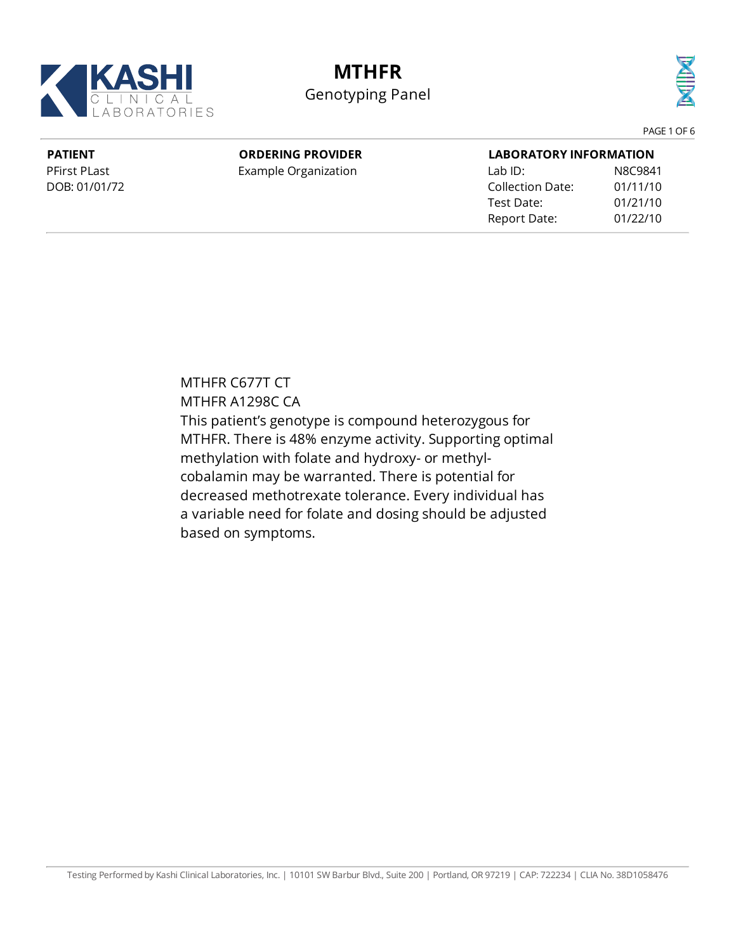

## **MTHFR**

Genotyping Panel



PAGE 1 OF 6

**PATIENT** PFirst PLast DOB: 01/01/72

### **ORDERING PROVIDER**

Example Organization

| <b>LABORATORY INFORMATION</b> |          |  |  |
|-------------------------------|----------|--|--|
| $I$ ab ID:                    | N8C9841  |  |  |
| Collection Date:              | 01/11/10 |  |  |
| Test Date:                    | 01/21/10 |  |  |
| Report Date:                  | 01/22/10 |  |  |

MTHFR C677T CT MTHFR A1298C CA This patient's genotype is compound heterozygous for MTHFR. There is 48% enzyme activity. Supporting optimal methylation with folate and hydroxy- or methylcobalamin may be warranted. There is potential for decreased methotrexate tolerance. Every individual has a variable need for folate and dosing should be adjusted based on symptoms.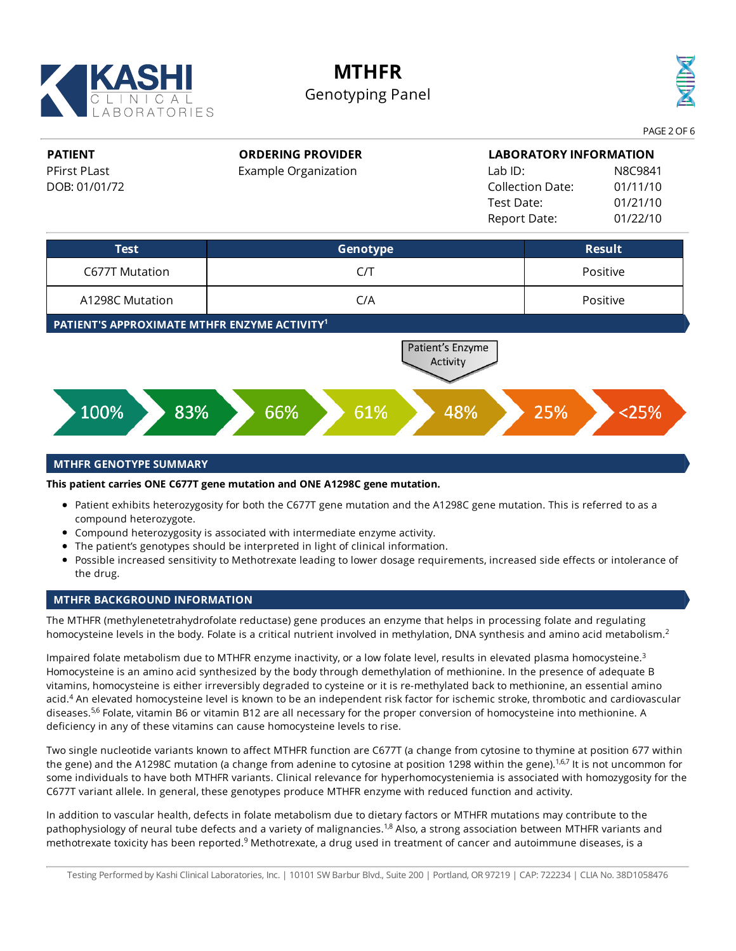

# **MTHFR**

### Genotyping Panel



PAGE 2 OF 6

#### **PATIENT** PFirst PLast DOB: 01/01/72 **ORDERING PROVIDER** Example Organization **LABORATORY INFORMATION** Lab ID: N8C9841 Collection Date: 01/11/10 Test Date: 01/21/10 Report Date: 01/22/10 **Test Genotype Result** C677T Mutation C/T Positive A1298C Mutation C/A Positive

**PATIENT'S APPROXIMATE MTHFR ENZYME ACTIVITY 1**



#### **MTHFR GENOTYPE SUMMARY**

**This patient carries ONE C677T gene mutation and ONE A1298C gene mutation.**

- Patient exhibits heterozygosity for both the C677T gene mutation and the A1298C gene mutation. This is referred to as a compound heterozygote.
- Compound heterozygosity is associated with intermediate enzyme activity.
- The patient's genotypes should be interpreted in light of clinical information.
- Possible increased sensitivity to Methotrexate leading to lower dosage requirements, increased side effects or intolerance of the drug.

#### **MTHFR BACKGROUND INFORMATION**

The MTHFR (methylenetetrahydrofolate reductase) gene produces an enzyme that helps in processing folate and regulating homocysteine levels in the body. Folate is a critical nutrient involved in methylation, DNA synthesis and amino acid metabolism. 2

Impaired folate metabolism due to MTHFR enzyme inactivity, or a low folate level, results in elevated plasma homocysteine.<sup>3</sup> Homocysteine is an amino acid synthesized by the body through demethylation of methionine. In the presence of adequate B vitamins, homocysteine is either irreversibly degraded to cysteine or it is re-methylated back to methionine, an essential amino acid.<sup>4</sup> An elevated homocysteine level is known to be an independent risk factor for ischemic stroke, thrombotic and cardiovascular diseases.<sup>5,6</sup> Folate, vitamin B6 or vitamin B12 are all necessary for the proper conversion of homocysteine into methionine. A deficiency in any of these vitamins can cause homocysteine levels to rise.

Two single nucleotide variants known to affect MTHFR function are C677T (a change from cytosine to thymine at position 677 within the gene) and the A1298C mutation (a change from adenine to cytosine at position 1298 within the gene).<sup>1,6,7</sup> It is not uncommon for some individuals to have both MTHFR variants. Clinical relevance for hyperhomocysteniemia is associated with homozygosity for the C677T variant allele. In general, these genotypes produce MTHFR enzyme with reduced function and activity.

In addition to vascular health, defects in folate metabolism due to dietary factors or MTHFR mutations may contribute to the pathophysiology of neural tube defects and a variety of malignancies.<sup>1,8</sup> Also, a strong association between MTHFR variants and methotrexate toxicity has been reported.<sup>9</sup> Methotrexate, a drug used in treatment of cancer and autoimmune diseases, is a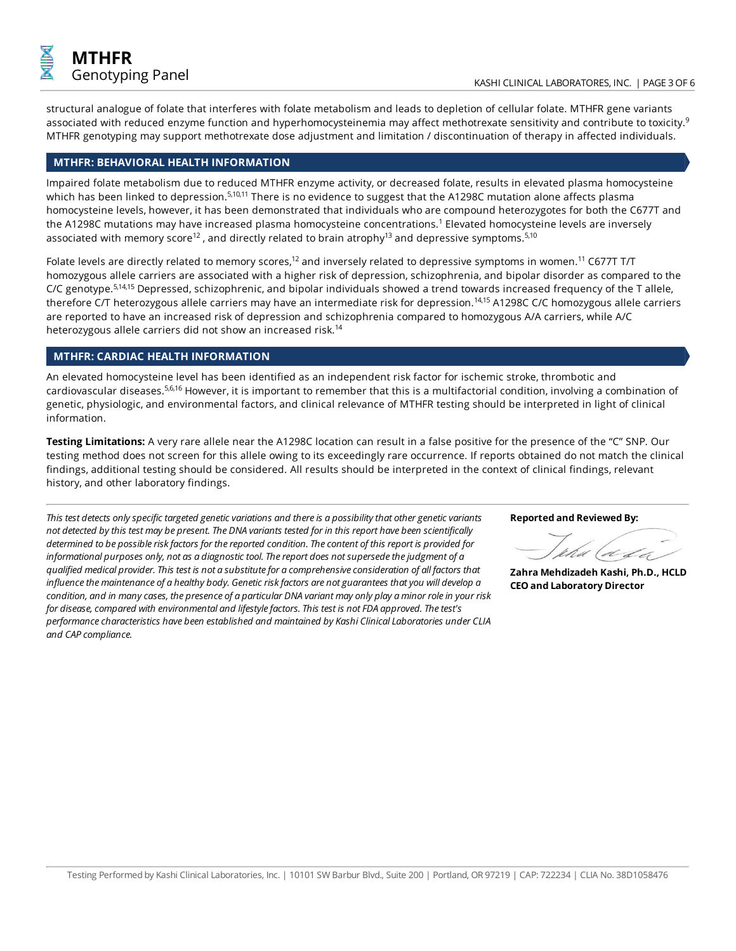

structural analogue of folate that interferes with folate metabolism and leads to depletion of cellular folate. MTHFR gene variants associated with reduced enzyme function and hyperhomocysteinemia may affect methotrexate sensitivity and contribute to toxicity. $^9$ MTHFR genotyping may support methotrexate dose adjustment and limitation / discontinuation of therapy in affected individuals.

#### **MTHFR: BEHAVIORAL HEALTH INFORMATION**

Impaired folate metabolism due to reduced MTHFR enzyme activity, or decreased folate, results in elevated plasma homocysteine which has been linked to depression.<sup>5,10,11</sup> There is no evidence to suggest that the A1298C mutation alone affects plasma homocysteine levels, however, it has been demonstrated that individuals who are compound heterozygotes for both the C677T and the A1298C mutations may have increased plasma homocysteine concentrations. <sup>1</sup> Elevated homocysteine levels are inversely associated with memory score<sup>12</sup> , and directly related to brain atrophy<sup>13</sup> and depressive symptoms.<sup>5,10</sup>

Folate levels are directly related to memory scores,<sup>12</sup> and inversely related to depressive symptoms in women.<sup>11</sup> C677T T/T homozygous allele carriers are associated with a higher risk of depression, schizophrenia, and bipolar disorder as compared to the C/C genotype.<sup>5,14,15</sup> Depressed, schizophrenic, and bipolar individuals showed a trend towards increased frequency of the T allele, therefore C/T heterozygous allele carriers may have an intermediate risk for depression.<sup>14,15</sup> A1298C C/C homozygous allele carriers are reported to have an increased risk of depression and schizophrenia compared to homozygous A/A carriers, while A/C heterozygous allele carriers did not show an increased risk. 14

#### **MTHFR: CARDIAC HEALTH INFORMATION**

An elevated homocysteine level has been identified as an independent risk factor for ischemic stroke, thrombotic and cardiovascular diseases.<sup>5,6,16</sup> However, it is important to remember that this is a multifactorial condition, involving a combination of genetic, physiologic, and environmental factors, and clinical relevance of MTHFR testing should be interpreted in light of clinical information.

**Testing Limitations:** A very rare allele near the A1298C location can result in a false positive for the presence of the "C" SNP. Our testing method does not screen for this allele owing to its exceedingly rare occurrence. If reports obtained do not match the clinical findings, additional testing should be considered. All results should be interpreted in the context of clinical findings, relevant history, and other laboratory findings.

*This test detects onlyspecific targeted genetic variations and thereis a possibilitythat othergenetic variants not detected bythis testmay be present.The DNA variants tested for in this report have been scientifically determined to be possibleriskfactors for thereported condition.Thecontent of this report is provided for informational purposes only, not as a diagnostic tool.Thereport does notsupersedethejudgment of a qualified medical provider.This test is not a substitutefor a comprehensiveconsideration of all factors that influencethemaintenance of a healthy body. Genetic riskfactors are notguarantees thatyou will develop a* condition, and in many cases, the presence of a particular DNA variant may only play a minor role in your risk *for disease,compared with environmental and lifestylefactors.This test is notFDA approved.Thetest's performancecharacteristics have been established and maintained by Kashi ClinicalLaboratories under CLIA and CAP compliance.*

**Reported and Reviewed By:**

À.

**ZahraMehdizadeh Kashi, Ph.D., HCLD CEOand Laboratory Director**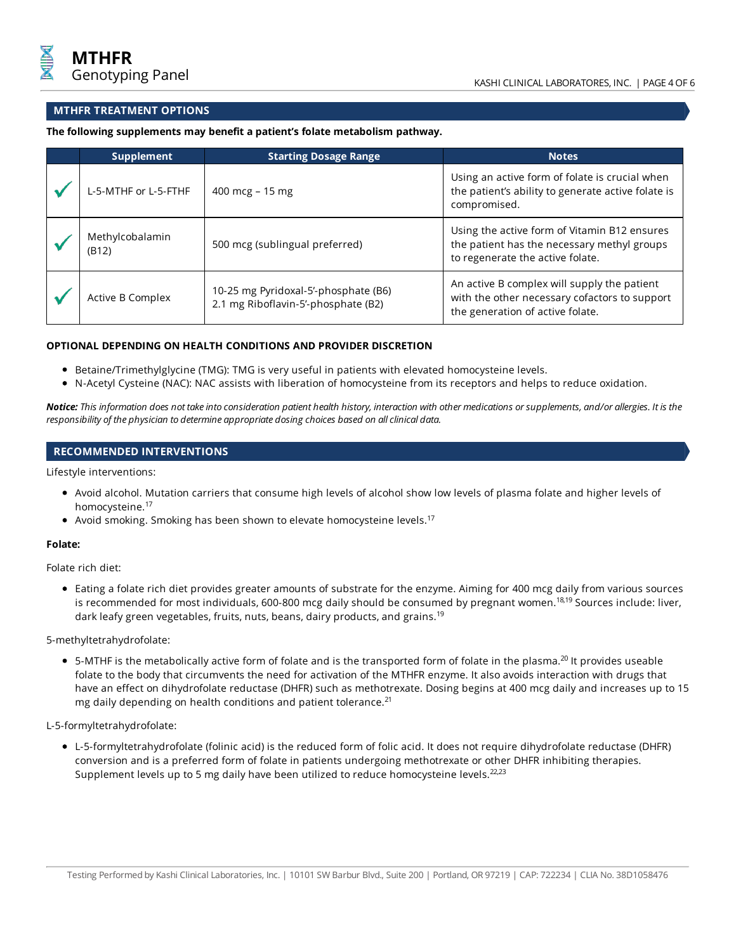#### **MTHFR TREATMENT OPTIONS**

**The following supplements may benefit a patient's folate metabolism pathway.**

| Supplement               | <b>Starting Dosage Range</b>                                                | <b>Notes</b>                                                                                                                     |
|--------------------------|-----------------------------------------------------------------------------|----------------------------------------------------------------------------------------------------------------------------------|
| L-5-MTHF or L-5-FTHF     | 400 mcg - 15 mg                                                             | Using an active form of folate is crucial when<br>the patient's ability to generate active folate is<br>compromised.             |
| Methylcobalamin<br>(B12) | 500 mcg (sublingual preferred)                                              | Using the active form of Vitamin B12 ensures<br>the patient has the necessary methyl groups<br>to regenerate the active folate.  |
| Active B Complex         | 10-25 mg Pyridoxal-5'-phosphate (B6)<br>2.1 mg Riboflavin-5'-phosphate (B2) | An active B complex will supply the patient<br>with the other necessary cofactors to support<br>the generation of active folate. |

#### **OPTIONAL DEPENDING ON HEALTH CONDITIONS AND PROVIDER DISCRETION**

- **•** Betaine/Trimethylglycine (TMG): TMG is very useful in patients with elevated homocysteine levels.
- N-Acetyl Cysteine (NAC): NAC assists with liberation of homocysteine from its receptors and helps to reduce oxidation.

Notice: This information does not take into consideration patient health history, interaction with other medications or supplements, and/or allergies. It is the *responsibility of the physician to determine appropriate dosing choices based on allclinical data.*

#### **RECOMMENDED INTERVENTIONS**

Lifestyle interventions:

- Avoid alcohol. Mutation carriers that consume high levels of alcohol show low levels of plasma folate and higher levels of homocysteine. 17
- Avoid smoking. Smoking has been shown to elevate homocysteine levels.<sup>17</sup>

#### **Folate:**

Folate rich diet:

Eating a folate rich diet provides greater amounts of substrate for the enzyme. Aiming for 400 mcg daily from various sources is recommended for most individuals, 600-800 mcg daily should be consumed by pregnant women.<sup>18,19</sup> Sources include: liver, dark leafy green vegetables, fruits, nuts, beans, dairy products, and grains. 19

5-methyltetrahydrofolate:

5-MTHF is the metabolically active form of folate and is the transported form of folate in the plasma.<sup>20</sup> It provides useable folate to the body that circumvents the need for activation of the MTHFR enzyme. It also avoids interaction with drugs that have an effect on dihydrofolate reductase (DHFR) such as methotrexate. Dosing begins at 400 mcg daily and increases up to 15 mg daily depending on health conditions and patient tolerance. 21

L-5-formyltetrahydrofolate:

L-5-formyltetrahydrofolate (folinic acid) is the reduced form of folic acid. It does not require dihydrofolate reductase (DHFR) conversion and is a preferred form of folate in patients undergoing methotrexate or other DHFR inhibiting therapies. Supplement levels up to 5 mg daily have been utilized to reduce homocysteine levels.<sup>22,23</sup>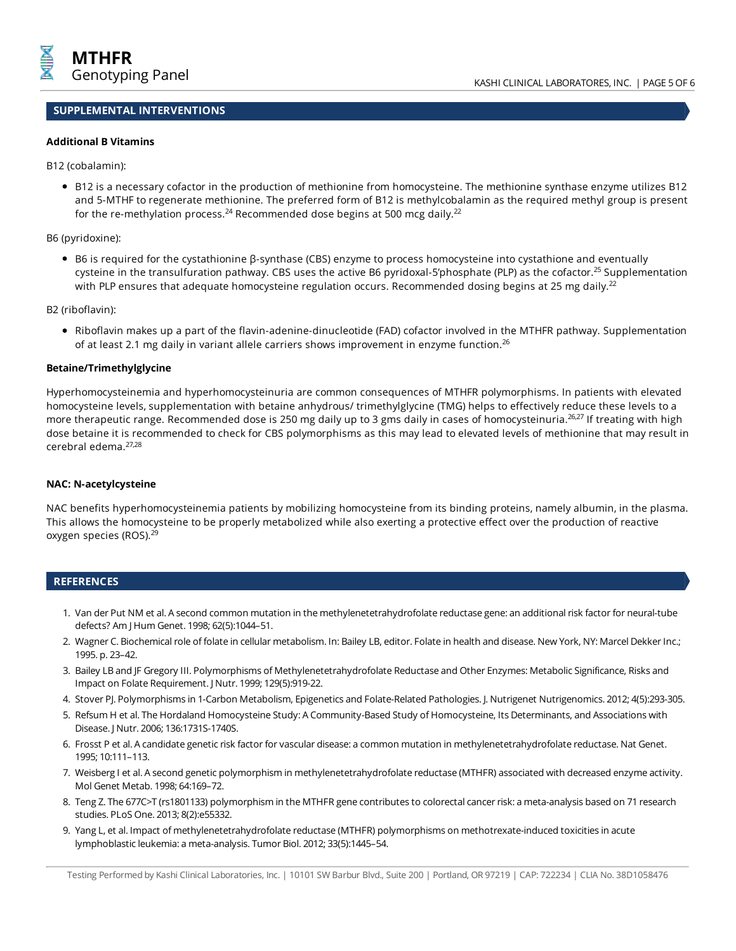## **SUPPLEMENTAL INTERVENTIONS**

#### **Additional B Vitamins**

B12 (cobalamin):

B12 is a necessary cofactor in the production of methionine from homocysteine. The methionine synthase enzyme utilizes B12 and 5-MTHF to regenerate methionine. The preferred form of B12 is methylcobalamin as the required methyl group is present for the re-methylation process.<sup>24</sup> Recommended dose begins at 500 mcg daily.<sup>22</sup>

B6 (pyridoxine):

• B6 is required for the cystathionine β-synthase (CBS) enzyme to process homocysteine into cystathione and eventually cysteine in the transulfuration pathway. CBS uses the active B6 pyridoxal-5'phosphate (PLP) as the cofactor.<sup>25</sup> Supplementation with PLP ensures that adequate homocysteine regulation occurs. Recommended dosing begins at 25 mg daily.<sup>22</sup>

B2 (riboflavin):

Riboflavin makes up a part of the flavin-adenine-dinucleotide (FAD) cofactor involved in the MTHFR pathway. Supplementation of at least 2.1 mg daily in variant allele carriers shows improvement in enzyme function.<sup>26</sup>

#### **Betaine/Trimethylglycine**

Hyperhomocysteinemia and hyperhomocysteinuria are common consequences of MTHFR polymorphisms. In patients with elevated homocysteine levels, supplementation with betaine anhydrous/ trimethylglycine (TMG) helps to effectively reduce these levels to a more therapeutic range. Recommended dose is 250 mg daily up to 3 gms daily in cases of homocysteinuria.<sup>26,27</sup> If treating with high dose betaine it is recommended to check for CBS polymorphisms as this may lead to elevated levels of methionine that may result in cerebral edema. 27,28

#### **NAC: N-acetylcysteine**

NAC benefits hyperhomocysteinemia patients by mobilizing homocysteine from its binding proteins, namely albumin, in the plasma. This allows the homocysteine to be properly metabolized while also exerting a protective effect over the production of reactive oxygen species (ROS). 29

#### **REFERENCES**

- 1. Van der Put NM et al. A second common mutation in the methylenetetrahydrofolate reductase gene: an additional risk factor for neural-tube defects? AmJ HumGenet. 1998; 62(5):1044–51.
- 2. Wagner C. Biochemical role of folate in cellular metabolism. In: Bailey LB, editor. Folate in health and disease. New York, NY: Marcel Dekker Inc.; 1995. p. 23–42.
- 3. Bailey LB and JF Gregory III. Polymorphisms of Methylenetetrahydrofolate Reductase and Other Enzymes: Metabolic Significance, Risks and Impact on Folate Requirement. J Nutr. 1999; 129(5):919-22.
- 4. Stover PJ. Polymorphisms in 1-Carbon Metabolism, Epigenetics and Folate-Related Pathologies. J. Nutrigenet Nutrigenomics. 2012; 4(5):293-305.
- 5. RefsumH et al. The Hordaland Homocysteine Study: A Community-Based Study of Homocysteine, Its Determinants, and Associations with Disease. J Nutr. 2006; 136:1731S-1740S.
- 6. Frosst P et al. A candidate genetic risk factor for vascular disease: a common mutation in methylenetetrahydrofolate reductase. Nat Genet. 1995; 10:111–113.
- 7. Weisberg I et al. A second genetic polymorphism in methylenetetrahydrofolate reductase (MTHFR) associated with decreased enzyme activity. Mol Genet Metab. 1998; 64:169–72.
- 8. Teng Z. The 677C>T (rs1801133) polymorphism in the MTHFR gene contributes to colorectal cancer risk: a meta-analysis based on 71 research studies. PLoS One. 2013; 8(2):e55332.
- 9. Yang L, et al. Impact of methylenetetrahydrofolate reductase (MTHFR) polymorphisms on methotrexate-induced toxicities in acute lymphoblasticleukemia: ameta-analysis. Tumor Biol. 2012; 33(5):1445–54.

Testing Performed by Kashi Clinical Laboratories, Inc. | 10101 SW Barbur Blvd., Suite 200 | Portland, OR 97219 | CAP: 722234 | CLIA No. 38D1058476